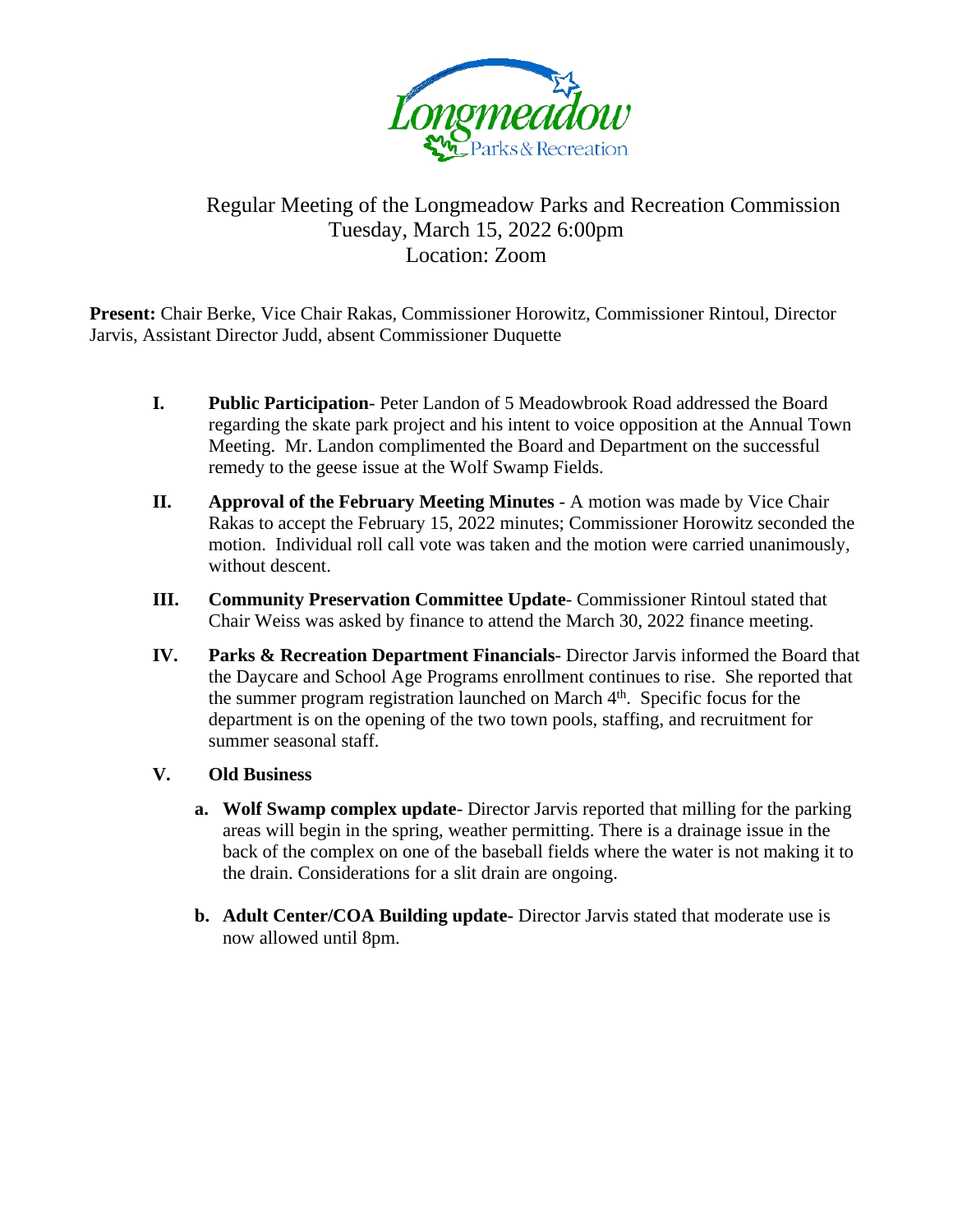

## Regular Meeting of the Longmeadow Parks and Recreation Commission Tuesday, March 15, 2022 6:00pm Location: Zoom

**Present:** Chair Berke, Vice Chair Rakas, Commissioner Horowitz, Commissioner Rintoul, Director Jarvis, Assistant Director Judd, absent Commissioner Duquette

- **I. Public Participation** Peter Landon of 5 Meadowbrook Road addressed the Board regarding the skate park project and his intent to voice opposition at the Annual Town Meeting. Mr. Landon complimented the Board and Department on the successful remedy to the geese issue at the Wolf Swamp Fields.
- **II. Approval of the February Meeting Minutes A motion was made by Vice Chair** Rakas to accept the February 15, 2022 minutes; Commissioner Horowitz seconded the motion. Individual roll call vote was taken and the motion were carried unanimously, without descent.
- **III. Community Preservation Committee Update** Commissioner Rintoul stated that Chair Weiss was asked by finance to attend the March 30, 2022 finance meeting.
- **IV. Parks & Recreation Department Financials** Director Jarvis informed the Board that the Daycare and School Age Programs enrollment continues to rise. She reported that the summer program registration launched on March 4<sup>th</sup>. Specific focus for the department is on the opening of the two town pools, staffing, and recruitment for summer seasonal staff.
- **V. Old Business**
	- **a. Wolf Swamp complex update** Director Jarvis reported that milling for the parking areas will begin in the spring, weather permitting. There is a drainage issue in the back of the complex on one of the baseball fields where the water is not making it to the drain. Considerations for a slit drain are ongoing.
	- **b. Adult Center/COA Building update-** Director Jarvis stated that moderate use is now allowed until 8pm.